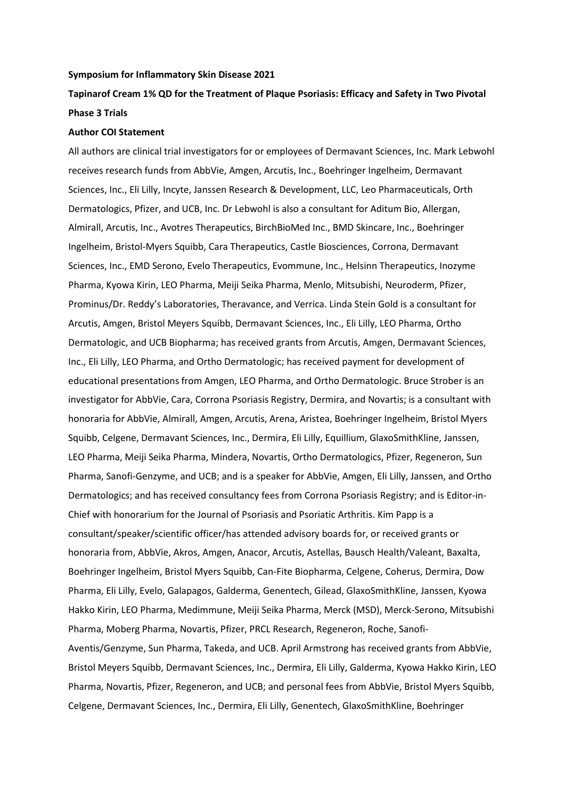## **Symposium for Inflammatory Skin Disease 2021**

## **Tapinarof Cream 1% QD for the Treatment of Plaque Psoriasis: Efficacy and Safety in Two Pivotal Phase 3 Trials**

## **Author COI Statement**

All authors are clinical trial investigators for or employees of Dermavant Sciences, Inc. Mark Lebwohl receives research funds from AbbVie, Amgen, Arcutis, Inc., Boehringer Ingelheim, Dermavant Sciences, Inc., Eli Lilly, Incyte, Janssen Research & Development, LLC, Leo Pharmaceuticals, Orth Dermatologics, Pfizer, and UCB, Inc. Dr Lebwohl is also a consultant for Aditum Bio, Allergan, Almirall, Arcutis, Inc., Avotres Therapeutics, BirchBioMed Inc., BMD Skincare, Inc., Boehringer Ingelheim, Bristol-Myers Squibb, Cara Therapeutics, Castle Biosciences, Corrona, Dermavant Sciences, Inc., EMD Serono, Evelo Therapeutics, Evommune, Inc., Helsinn Therapeutics, Inozyme Pharma, Kyowa Kirin, LEO Pharma, Meiji Seika Pharma, Menlo, Mitsubishi, Neuroderm, Pfizer, Prominus/Dr. Reddy's Laboratories, Theravance, and Verrica. Linda Stein Gold is a consultant for Arcutis, Amgen, Bristol Meyers Squibb, Dermavant Sciences, Inc., Eli Lilly, LEO Pharma, Ortho Dermatologic, and UCB Biopharma; has received grants from Arcutis, Amgen, Dermavant Sciences, Inc., Eli Lilly, LEO Pharma, and Ortho Dermatologic; has received payment for development of educational presentations from Amgen, LEO Pharma, and Ortho Dermatologic. Bruce Strober is an investigator for AbbVie, Cara, Corrona Psoriasis Registry, Dermira, and Novartis; is a consultant with honoraria for AbbVie, Almirall, Amgen, Arcutis, Arena, Aristea, Boehringer Ingelheim, Bristol Myers Squibb, Celgene, Dermavant Sciences, Inc., Dermira, Eli Lilly, Equillium, GlaxoSmithKline, Janssen, LEO Pharma, Meiji Seika Pharma, Mindera, Novartis, Ortho Dermatologics, Pfizer, Regeneron, Sun Pharma, Sanofi-Genzyme, and UCB; and is a speaker for AbbVie, Amgen, Eli Lilly, Janssen, and Ortho Dermatologics; and has received consultancy fees from Corrona Psoriasis Registry; and is Editor-in-Chief with honorarium for the Journal of Psoriasis and Psoriatic Arthritis. Kim Papp is a consultant/speaker/scientific officer/has attended advisory boards for, or received grants or honoraria from, AbbVie, Akros, Amgen, Anacor, Arcutis, Astellas, Bausch Health/Valeant, Baxalta, Boehringer Ingelheim, Bristol Myers Squibb, Can-Fite Biopharma, Celgene, Coherus, Dermira, Dow Pharma, Eli Lilly, Evelo, Galapagos, Galderma, Genentech, Gilead, GlaxoSmithKline, Janssen, Kyowa Hakko Kirin, LEO Pharma, Medimmune, Meiji Seika Pharma, Merck (MSD), Merck-Serono, Mitsubishi Pharma, Moberg Pharma, Novartis, Pfizer, PRCL Research, Regeneron, Roche, Sanofi-Aventis/Genzyme, Sun Pharma, Takeda, and UCB. April Armstrong has received grants from AbbVie, Bristol Meyers Squibb, Dermavant Sciences, Inc., Dermira, Eli Lilly, Galderma, Kyowa Hakko Kirin, LEO Pharma, Novartis, Pfizer, Regeneron, and UCB; and personal fees from AbbVie, Bristol Myers Squibb, Celgene, Dermavant Sciences, Inc., Dermira, Eli Lilly, Genentech, GlaxoSmithKline, Boehringer